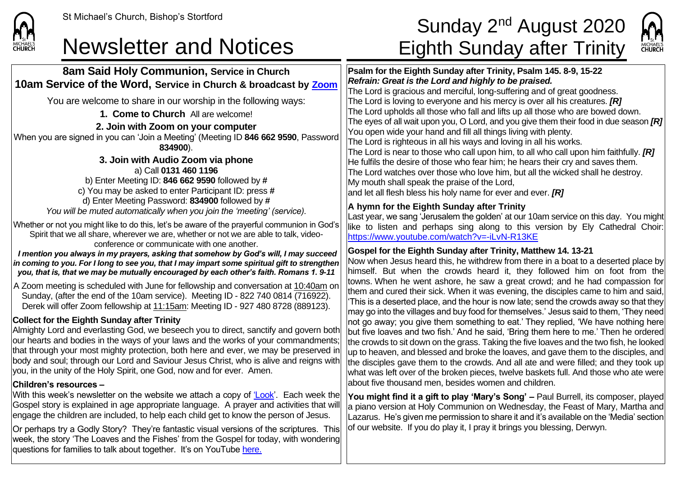

week, the story 'The Loaves and the Fishes' from the Gospel for today, with wondering

questions for families to talk about together. It's on YouTube [here.](https://www.youtube.com/watch?v=012WX3G0rrY)

# St Michael's Church, Bishop's Stortford  $\textsf{Sunday}\ 2^{\textsf{nd}}\ \textsf{August}\ 2020$ Newsletter and Notices Eighth Sunday after Trinity



**8am Said Holy Communion, Service in Church 10am Service of the Word, Service in Church & broadcast by [Zoom](https://zoom.us/)** You are welcome to share in our worship in the following ways: **1. Come to Church** All are welcome! **2. Join with Zoom on your computer** When you are signed in you can 'Join a Meeting' (Meeting ID **846 662 9590**, Password **834900**). **3. Join with Audio Zoom via phone** a) Call **0131 460 1196** b) Enter Meeting ID: **846 662 9590** followed by **#** c) You may be asked to enter Participant ID: press **#** d) Enter Meeting Password: **834900** followed by **#** *You will be muted automatically when you join the 'meeting' (service).* Whether or not you might like to do this, let's be aware of the prayerful communion in God's Spirit that we all share, wherever we are, whether or not we are able to talk, videoconference or communicate with one another. *I mention you always in my prayers, asking that somehow by God's will, I may succeed in coming to you. For I long to see you, that I may impart some spiritual gift to strengthen you, that is, that we may be mutually encouraged by each other's faith. Romans 1. 9-11* A Zoom meeting is scheduled with June for fellowship and conversation at 10:40am on Sunday, (after the end of the 10am service). Meeting ID - 822 740 0814 (716922). Derek will offer Zoom fellowship at 11:15am: Meeting ID - 927 480 8728 (889123). **Collect for the Eighth Sunday after Trinity** Almighty Lord and everlasting God, we beseech you to direct, sanctify and govern both our hearts and bodies in the ways of your laws and the works of your commandments; that through your most mighty protection, both here and ever, we may be preserved in body and soul; through our Lord and Saviour Jesus Christ, who is alive and reigns with you, in the unity of the Holy Spirit, one God, now and for ever. Amen. **Children's resources –** With this week's newsletter on the website we attach a copy of ['Look'](https://saintmichaelweb.org.uk/Articles/542815/_Newsletter.aspx). Each week the Gospel story is explained in age appropriate language. A prayer and activities that will engage the children are included, to help each child get to know the person of Jesus. Or perhaps try a Godly Story? They're fantastic visual versions of the scriptures. This **Psalm for the Eighth Sunday after Trinity, Psalm 145. 8-9, 15-22** *Refrain: Great is the Lord and highly to be praised.* The Lord is gracious and merciful, long-suffering and of great goodness. The Lord is loving to everyone and his mercy is over all his creatures. *[R]* The Lord upholds all those who fall and lifts up all those who are bowed down. The eyes of all wait upon you, O Lord, and you give them their food in due season *[R]* You open wide your hand and fill all things living with plenty. The Lord is righteous in all his ways and loving in all his works. The Lord is near to those who call upon him, to all who call upon him faithfully. *[R]* He fulfils the desire of those who fear him; he hears their cry and saves them. The Lord watches over those who love him, but all the wicked shall he destroy. My mouth shall speak the praise of the Lord, and let all flesh bless his holy name for ever and ever. *[R]* **A hymn for the Eighth Sunday after Trinity** Last year, we sang 'Jerusalem the golden' at our 10am service on this day. You might like to listen and perhaps sing along to this version by Ely Cathedral Choir: <https://www.youtube.com/watch?v=-iLvN-R13KE> **Gospel for the Eighth Sunday after Trinity, Matthew 14. 13-21** Now when Jesus heard this, he withdrew from there in a boat to a deserted place by himself. But when the crowds heard it, they followed him on foot from the towns. When he went ashore, he saw a great crowd; and he had compassion for them and cured their sick. When it was evening, the disciples came to him and said, 'This is a deserted place, and the hour is now late; send the crowds away so that they may go into the villages and buy food for themselves.' Jesus said to them, 'They need not go away; you give them something to eat.' They replied, 'We have nothing here but five loaves and two fish.' And he said, 'Bring them here to me.' Then he ordered the crowds to sit down on the grass. Taking the five loaves and the two fish, he looked up to heaven, and blessed and broke the loaves, and gave them to the disciples, and the disciples gave them to the crowds. And all ate and were filled; and they took up what was left over of the broken pieces, twelve baskets full. And those who ate were about five thousand men, besides women and children. **You might find it a gift to play 'Mary's Song' –** Paul Burrell, its composer, played a piano version at Holy Communion on Wednesday, the Feast of Mary, Martha and Lazarus. He's given me permission to share it and it's available on the 'Media' section of our website. If you do play it, I pray it brings you blessing, Derwyn.